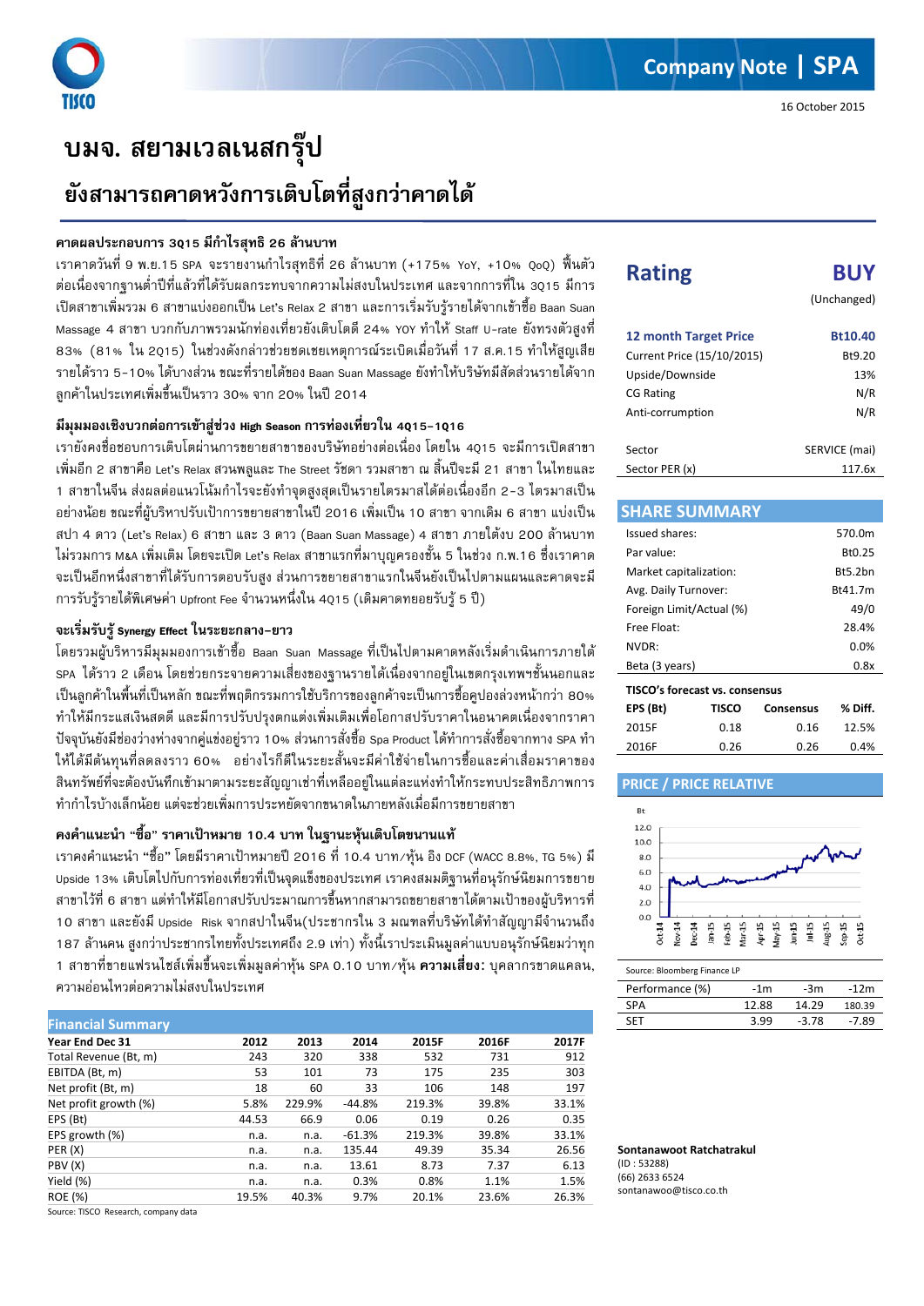

I

# **บมจ. สยามเวลเนสกรุป ยังสามารถคาดหวังการเติบโตที่สูงกวาคาดได**

### **คาดผลประกอบการ 3Q15 มีกําไรสุทธิ 26 ลานบาท**

เราคาดวันที่ 9 พ.ย.15 SPA จะรายงานกําไรสุทธิที่ 26 ลานบาท (+175% YoY, +10% QoQ) ฟนตัว ตอเนื่องจากฐานต่ําปที่แลวที่ไดรับผลกระทบจากความไมสงบในประเทศ และจากการที่ใน 3Q15 มีการ เปดสาขาเพิ่มรวม 6 สาขาแบงออกเปน Let's Relax 2 สาขา และการเริ่มรับรูรายไดจากเขาซื้อ Baan Suan Massage 4 สาขา บวกกับภาพรวมนักท่องเที่ยวยังเติบโตดี 24% YOY ทำให้ Staff U-rate ยังทรงตัวสูงที่ 83% (81% ใน 2Q15) ในชวงดังกลาวชวยชดเชยเหตุการณระเบิดเมื่อวันที่ 17 ส.ค.15 ทําใหสูญเสีย รายไดราว 5-10% ไดบางสวน ขณะที่รายไดของ Baan Suan Massage ยังทําใหบริษัทมีสัดสวนรายไดจาก ี ลูกค้าในประเทศเพิ่มขึ้นเป็นราว 30% จาก 20% ในปี 2014

## **มีมุมมองเชิงบวกตอการเขาสูชวง High Season การทองเที่ยวใน 4Q15-1Q16**

เรายังคงชื่อชอบการเติบโตผานการขยายสาขาของบริษัทอยางตอเนื่อง โดยใน 4Q15 จะมีการเปดสาขา เพิ่มอีก 2 สาขาคือ Let's Relax สวนพลูและ The Street รัชดา รวมสาขา ณ สิ้นปจะมี 21 สาขา ในไทยและ 1 สาขาในจีน ส่งผลต่อแนวโน้มกำไรจะยังทำจุดสูงสุดเป็นรายไตรมาสได้ต่อเนื่องอีก 2-3 ไตรมาสเป็น ้อย่างน้อย ขณะที่ผับริหาปรับเป้าการขยายสาขาในปี 2016 เพิ่มเป็น 10 สาขา จากเดิม 6 สาขา แบ่งเป็น สปา 4 ดาว (Let's Relax) 6 สาขา และ 3 ดาว (Baan Suan Massage) 4 สาขา ภายใต้งบ 200 ล้านบาท ไมรวมการ M&A เพิ่มเติม โดยจะเปด Let's Relax สาขาแรกที่มาบุญครองชั้น 5 ในชวง ก.พ.16 ซึ่งเราคาด จะเปนอีกหนึ่งสาขาที่ไดรับการตอบรับสูง สวนการขยายสาขาแรกในจีนยังเปนไปตามแผนและคาดจะมี การรับรูรายไดพิเศษคา Upfront Fee จํานวนหนึ่งใน 4Q15 (เดิมคาดทยอยรับรู 5 ป)

### **จะเริ่มรับรูSynergy Effect ในระยะกลาง-ยาว**

โดยรวมผู้บริหารมีมุมมองการเข้าซื้อ Baan Suan Massage ที่เป็นไปตามคาดหลังเริ่มดำเนินการภายใต้ SPA ไดราว 2 เดือน โดยชวยกระจายความเสี่ยงของฐานรายไดเนื่องจากอยูในเขตกรุงเทพฯชั้นนอกและ เปนลูกคาในพื้นที่เปนหลัก ขณะที่พฤติกรรมการใชบริการของลูกคาจะเปนการซื้อคูปองลวงหนากวา 80% ทําใหมีกระแสเงินสดดี และมีการปรับปรุงตกแตงเพิ่มเติมเพื่อโอกาสปรับราคาในอนาคตเนื่องจากราคา ปจจุบันยังมีชองวางหางจากคูแขงอยูราว 10% สวนการสั่งซื้อ Spa Product ไดทําการสั่งซื้อจากทาง SPA ทํา ให้ได้มีต้นทุนที่ลดลงราว 60% อย่างไรก็ดีในระยะสั้นจะมีค่าใช้จ่ายในการซื้อและค่าเสื่อมราคาของ สินทรัพยที่จะตองบันทึกเขามาตามระยะสัญญาเชาที่เหลืออยูในแตละแหงทําใหกระทบประสิทธิภาพการ ทํากําไรบางเล็กนอย แตจะชวยเพิ่มการประหยัดจากขนาดในภายหลังเมื่อมีการขยายสาขา

### **คงคําแนะนํา** "**ซื้อ**" **ราคาเปาหมาย 10.4 บาท ในฐานะหุนเติบโตขนานแท**

เราคงคําแนะนํา "ซื้อ" โดยมีราคาเปาหมายป 2016 ที่ 10.4 บาท/หุน อิง DCF (WACC 8.8%, TG 5%) มี Upside 13% เติบโตไปกับการทองเที่ยวที่เปนจุดแข็งของประเทศ เราคงสมมติฐานที่อนุรักษนิยมการขยาย ี สาขาไว้ที่ 6 สาขา แต่ทำให้มีโอกาสปรับประมาณการขึ้นหากสามารถขยายสาขาได้ตามเป้าของผับริหารที่ 10 สาขา และยังมี Upside Risk จากสปาในจีน(ประชากรใน 3 มณฑลที่บริษัทไดทําสัญญามีจํานวนถึง 187 ลานคน สูงกวาประชากรไทยทั้งประเทศถึง 2.9 เทา) ทั้งนี้เราประเมินมูลคาแบบอนุรักษนิยมวาทุก 1 สาขาที่ขายแฟรนไชสเพิ่มขึ้นจะเพิ่มมูลคาหุน SPA 0.10 บาท/หุน **ความเสี่ยง**: บุคลากรขาดแคลน, ความออนไหวตอความไมสงบในประเทศ

| <b>Financial Summary</b> |       |        |          |        |       |       |
|--------------------------|-------|--------|----------|--------|-------|-------|
| Year End Dec 31          | 2012  | 2013   | 2014     | 2015F  | 2016F | 2017F |
| Total Revenue (Bt, m)    | 243   | 320    | 338      | 532    | 731   | 912   |
| EBITDA (Bt, m)           | 53    | 101    | 73       | 175    | 235   | 303   |
| Net profit (Bt, m)       | 18    | 60     | 33       | 106    | 148   | 197   |
| Net profit growth (%)    | 5.8%  | 229.9% | $-44.8%$ | 219.3% | 39.8% | 33.1% |
| EPS (Bt)                 | 44.53 | 66.9   | 0.06     | 0.19   | 0.26  | 0.35  |
| EPS growth (%)           | n.a.  | n.a.   | $-61.3%$ | 219.3% | 39.8% | 33.1% |
| PER(X)                   | n.a.  | n.a.   | 135.44   | 49.39  | 35.34 | 26.56 |
| PBV (X)                  | n.a.  | n.a.   | 13.61    | 8.73   | 7.37  | 6.13  |
| Yield (%)                | n.a.  | n.a.   | 0.3%     | 0.8%   | 1.1%  | 1.5%  |
| <b>ROE</b> (%)           | 19.5% | 40.3%  | 9.7%     | 20.1%  | 23.6% | 26.3% |

Source: TISCO Research, company data

# **Rating BUY**

(Unchanged)

| <b>12 month Target Price</b> | Bt10.40       |
|------------------------------|---------------|
| Current Price (15/10/2015)   | Bt9.20        |
| Upside/Downside              | 13%           |
| <b>CG Rating</b>             | N/R           |
| Anti-corrumption             | N/R           |
|                              |               |
| Sector                       | SERVICE (mai) |
| Sector PER (x)               | 117.6x        |

| <b>SHARE SUMMARY</b>           |        |           |         |  |  |
|--------------------------------|--------|-----------|---------|--|--|
| Issued shares:                 | 570.0m |           |         |  |  |
| Par value:                     |        |           | Bt0.25  |  |  |
| Market capitalization:         |        |           | Rt5.2hn |  |  |
| Avg. Daily Turnover:           |        |           | Bt41.7m |  |  |
| Foreign Limit/Actual (%)       |        |           | 49/0    |  |  |
| Free Float:                    |        |           | 28.4%   |  |  |
| NVDR:                          |        |           | 0.0%    |  |  |
| Beta (3 years)                 |        |           | 0.8x    |  |  |
| TISCO's forecast vs. consensus |        |           |         |  |  |
| EPS (Bt)                       | TISCO  | Consensus | % Diff. |  |  |
| 2015F                          | 0.18   | በ 16      | 12.5%   |  |  |

### **PRICE / PRICE RELATIVE**



2016F 0.26 0.26 0.4%

Source: Bloomberg Finance LP

| Performance (%) | -1m   | -3m     | $-12m$  |
|-----------------|-------|---------|---------|
| <b>SPA</b>      | 12.88 | 14.29   | 180.39  |
| <b>SFT</b>      | 3.99  | $-3.78$ | $-7.89$ |

**Sontanawoot Ratchatrakul** (ID : 53288) (66) 2633 6524 sontanawoo@tisco.co.th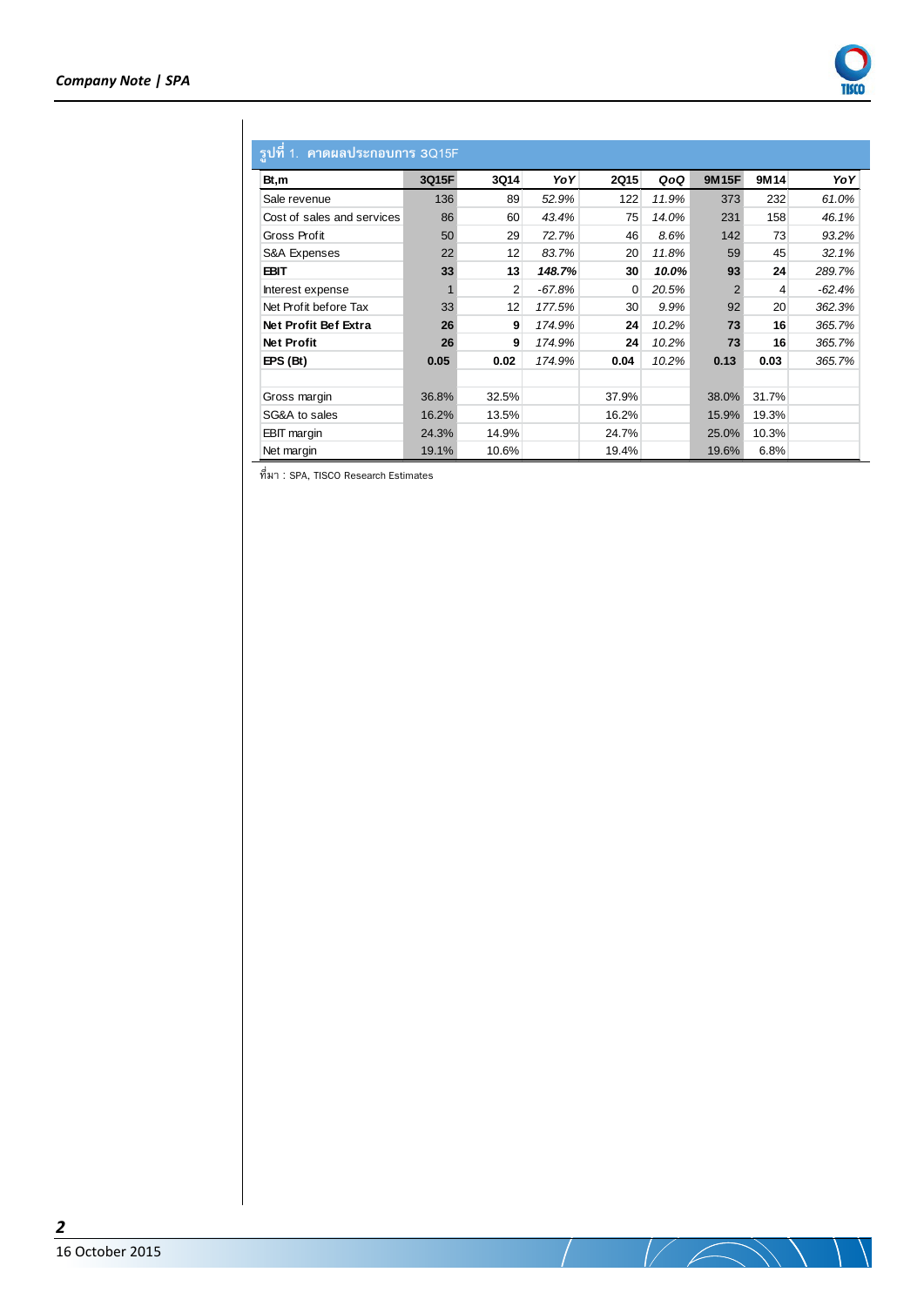

# **รูปที่1. คาดผลประกอบการ 3Q15F**

| 91                         |       |                |          |             |       |                |       |        |
|----------------------------|-------|----------------|----------|-------------|-------|----------------|-------|--------|
| Bt,m                       | 3Q15F | 3Q14           | YoY      | <b>2Q15</b> | QoQ   | <b>9M15F</b>   | 9M14  | YoY    |
| Sale revenue               | 136   | 89             | 52.9%    | 122         | 11.9% | 373            | 232   | 61.0%  |
| Cost of sales and services | 86    | 60             | 43.4%    | 75          | 14.0% | 231            | 158   | 46.1%  |
| Gross Profit               | 50    | 29             | 72.7%    | 46          | 8.6%  | 142            | 73    | 93.2%  |
| S&A Expenses               | 22    | 12             | 83.7%    | 20          | 11.8% | 59             | 45    | 32.1%  |
| EBIT                       | 33    | 13             | 148.7%   | 30          | 10.0% | 93             | 24    | 289.7% |
| Interest expense           |       | $\overline{2}$ | $-67.8%$ | 0           | 20.5% | $\overline{2}$ | 4     | -62.4% |
| Net Profit before Tax      | 33    | 12             | 177.5%   | 30          | 9.9%  | 92             | 20    | 362.3% |
| Net Profit Bef Extra       | 26    | 9              | 174.9%   | 24          | 10.2% | 73             | 16    | 365.7% |
| <b>Net Profit</b>          | 26    | 9              | 174.9%   | 24          | 10.2% | 73             | 16    | 365.7% |
| EPS (Bt)                   | 0.05  | 0.02           | 174.9%   | 0.04        | 10.2% | 0.13           | 0.03  | 365.7% |
|                            |       |                |          |             |       |                |       |        |
| Gross margin               | 36.8% | 32.5%          |          | 37.9%       |       | 38.0%          | 31.7% |        |
| SG&A to sales              | 16.2% | 13.5%          |          | 16.2%       |       | 15.9%          | 19.3% |        |
| <b>EBIT</b> margin         | 24.3% | 14.9%          |          | 24.7%       |       | 25.0%          | 10.3% |        |
| Net margin                 | 19.1% | 10.6%          |          | 19.4%       |       | 19.6%          | 6.8%  |        |

ที่มา : SPA, TISCO Research Estimates